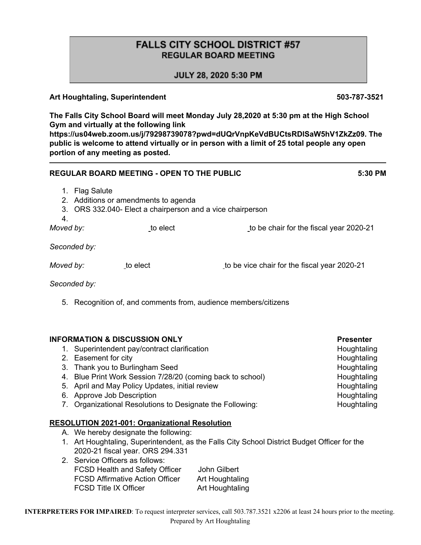# **FALLS CITY SCHOOL DISTRICT #57 REGULAR BOARD MEETING**

### JULY 28, 2020 5:30 PM

#### **Art Houghtaling, Superintendent 503-787-3521**

**The Falls City School Board will meet Monday July 28,2020 at 5:30 pm at the High School Gym and virtually at the following link**

**https://us04web.zoom.us/j/79298739078?pwd=dUQrVnpKeVdBUCtsRDlSaW5hV1ZkZz09. The public is welcome to attend virtually or in person with a limit of 25 total people any open portion of any meeting as posted.**

| <b>REGULAR BOARD MEETING - OPEN TO THE PUBLIC</b><br>5:30 PM |                                                                                                                       |                                              |  |  |
|--------------------------------------------------------------|-----------------------------------------------------------------------------------------------------------------------|----------------------------------------------|--|--|
| 1.<br>3.<br>4.                                               | <b>Flag Salute</b><br>2. Additions or amendments to agenda<br>ORS 332.040- Elect a chairperson and a vice chairperson |                                              |  |  |
| Moved by:                                                    | to elect                                                                                                              | to be chair for the fiscal year 2020-21      |  |  |
| Seconded by:                                                 |                                                                                                                       |                                              |  |  |
| Moved by:                                                    | to elect                                                                                                              | to be vice chair for the fiscal year 2020-21 |  |  |
| Seconded by:                                                 |                                                                                                                       |                                              |  |  |
| 5.                                                           | Recognition of, and comments from, audience members/citizens                                                          |                                              |  |  |

| <b>INFORMATION &amp; DISCUSSION ONLY</b>                   | <b>Presenter</b> |
|------------------------------------------------------------|------------------|
| 1. Superintendent pay/contract clarification               | Houghtaling      |
| 2. Easement for city                                       | Houghtaling      |
| 3. Thank you to Burlingham Seed                            | Houghtaling      |
| 4. Blue Print Work Session 7/28/20 (coming back to school) | Houghtaling      |
| 5. April and May Policy Updates, initial review            | Houghtaling      |
| 6. Approve Job Description                                 | Houghtaling      |
| 7. Organizational Resolutions to Designate the Following:  | Houghtaling      |
|                                                            |                  |

### **RESOLUTION 2021-001: Organizational Resolution**

- A. We hereby designate the following:
- 1. Art Houghtaling, Superintendent, as the Falls City School District Budget Officer for the 2020-21 fiscal year. ORS 294.331
- 2. Service Officers as follows: FCSD Health and Safety Officer John Gilbert FCSD Affirmative Action Officer Art Houghtaling FCSD Title IX Officer Art Houghtaling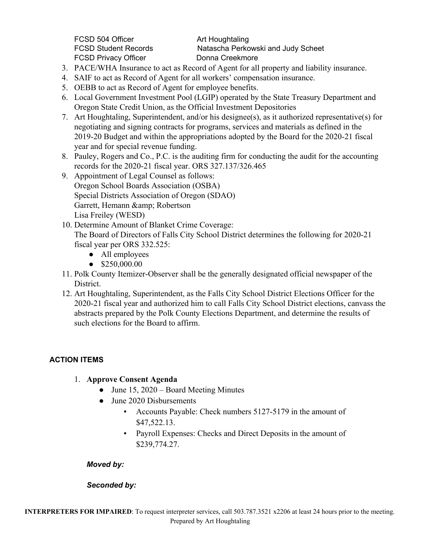FCSD 504 Officer Art Houghtaling FCSD Privacy Officer Donna Creekmore

FCSD Student Records Natascha Perkowski and Judy Scheet

- 3. PACE/WHA Insurance to act as Record of Agent for all property and liability insurance.
- 4. SAIF to act as Record of Agent for all workers' compensation insurance.
- 5. OEBB to act as Record of Agent for employee benefits.
- 6. Local Government Investment Pool (LGIP) operated by the State Treasury Department and Oregon State Credit Union, as the Official Investment Depositories
- 7. Art Houghtaling, Superintendent, and/or his designee(s), as it authorized representative(s) for negotiating and signing contracts for programs, services and materials as defined in the 2019-20 Budget and within the appropriations adopted by the Board for the 2020-21 fiscal year and for special revenue funding.
- 8. Pauley, Rogers and Co., P.C. is the auditing firm for conducting the audit for the accounting records for the 2020-21 fiscal year. ORS 327.137/326.465
- 9. Appointment of Legal Counsel as follows: Oregon School Boards Association (OSBA) Special Districts Association of Oregon (SDAO) Garrett, Hemann & amp; Robertson Lisa Freiley (WESD)
- 10. Determine Amount of Blanket Crime Coverage: The Board of Directors of Falls City School District determines the following for 2020-21 fiscal year per ORS 332.525:
	- All employees
	- \$250,000.00
- 11. Polk County Itemizer-Observer shall be the generally designated official newspaper of the District.
- 12. Art Houghtaling, Superintendent, as the Falls City School District Elections Officer for the 2020-21 fiscal year and authorized him to call Falls City School District elections, canvass the abstracts prepared by the Polk County Elections Department, and determine the results of such elections for the Board to affirm.

## **ACTION ITEMS**

- 1. **Approve Consent Agenda**
	- June 15,  $2020 Board$  Meeting Minutes
	- June 2020 Disbursements
		- Accounts Payable: Check numbers 5127-5179 in the amount of \$47,522.13.
		- Payroll Expenses: Checks and Direct Deposits in the amount of \$239,774.27.

## *Moved by:*

## *Seconded by:*